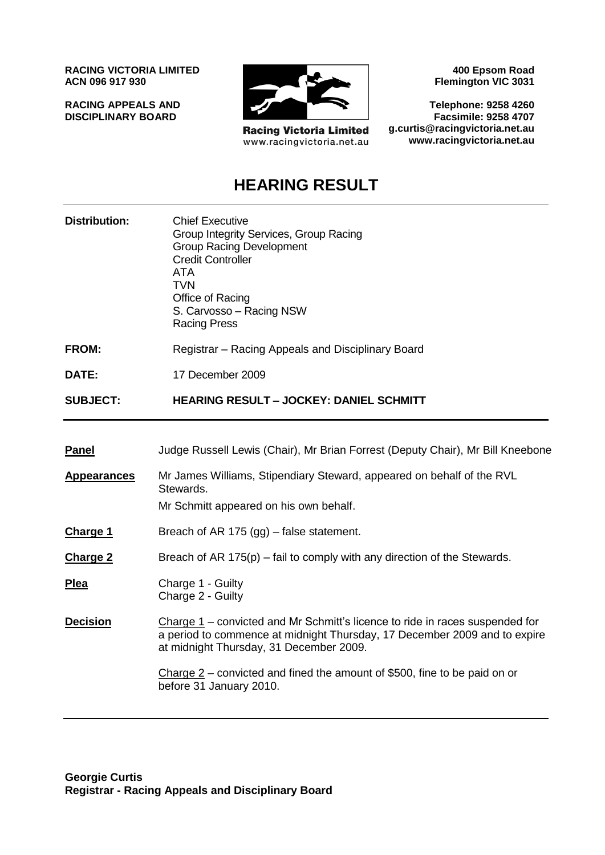**RACING VICTORIA LIMITED ACN 096 917 930**

**RACING APPEALS AND DISCIPLINARY BOARD**



**Racing Victoria Limited** www.racingvictoria.net.au

**400 Epsom Road Flemington VIC 3031**

**Telephone: 9258 4260 Facsimile: 9258 4707 g.curtis@racingvictoria.net.au www.racingvictoria.net.au**

## **HEARING RESULT**

| <b>Distribution:</b> | <b>Chief Executive</b><br>Group Integrity Services, Group Racing<br><b>Group Racing Development</b><br><b>Credit Controller</b><br>ATA<br>TVN<br>Office of Racing<br>S. Carvosso - Racing NSW<br><b>Racing Press</b> |
|----------------------|----------------------------------------------------------------------------------------------------------------------------------------------------------------------------------------------------------------------|
| FROM:                | Registrar - Racing Appeals and Disciplinary Board                                                                                                                                                                    |

**DATE:** 17 December 2009

**SUBJECT: HEARING RESULT – JOCKEY: DANIEL SCHMITT**

| <b>Panel</b> | Judge Russell Lewis (Chair), Mr Brian Forrest (Deputy Chair), Mr Bill Kneebone |  |
|--------------|--------------------------------------------------------------------------------|--|
|              |                                                                                |  |

**Appearances** Mr James Williams, Stipendiary Steward, appeared on behalf of the RVL Stewards.

Mr Schmitt appeared on his own behalf.

- **Charge 1** Breach of AR 175 (gg) false statement.
- **Charge 2** Breach of AR 175(p) fail to comply with any direction of the Stewards.

**Plea** Charge 1 - Guilty Charge 2 - Guilty

**Decision** Charge 1 – convicted and Mr Schmitt's licence to ride in races suspended for a period to commence at midnight Thursday, 17 December 2009 and to expire at midnight Thursday, 31 December 2009.

> Charge 2 – convicted and fined the amount of \$500, fine to be paid on or before 31 January 2010.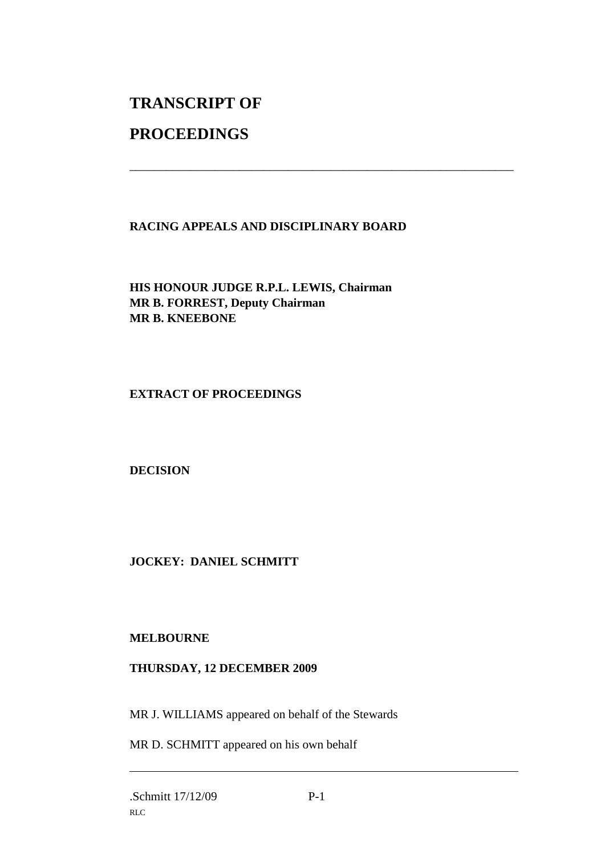# **TRANSCRIPT OF**

## **PROCEEDINGS**

### **RACING APPEALS AND DISCIPLINARY BOARD**

\_\_\_\_\_\_\_\_\_\_\_\_\_\_\_\_\_\_\_\_\_\_\_\_\_\_\_\_\_\_\_\_\_\_\_\_\_\_\_\_\_\_\_\_\_\_\_\_\_\_\_\_\_\_\_\_\_\_\_\_\_\_\_

**HIS HONOUR JUDGE R.P.L. LEWIS, Chairman MR B. FORREST, Deputy Chairman MR B. KNEEBONE**

**EXTRACT OF PROCEEDINGS**

**DECISION**

**JOCKEY: DANIEL SCHMITT**

#### **MELBOURNE**

#### **THURSDAY, 12 DECEMBER 2009**

MR J. WILLIAMS appeared on behalf of the Stewards

MR D. SCHMITT appeared on his own behalf